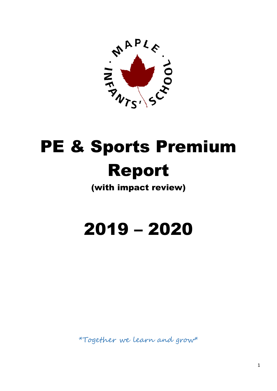

## PE & Sports Premium Report

(with impact review)

## 2019 – 2020

\*Together we learn and grow\*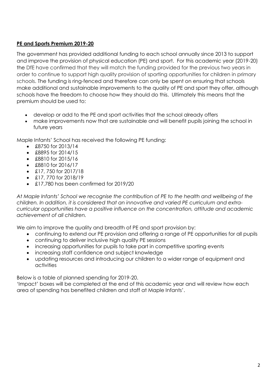## **PE and Sports Premium 2019-20**

The government has provided additional funding to each school annually since 2013 to support and improve the provision of physical education (PE) and sport. For this academic year (2019-20) the DfE have confirmed that they will match the funding provided for the previous two years in order to continue to support high quality provision of sporting opportunities for children in primary schools. The funding is ring-fenced and therefore can only be spent on ensuring that schools make additional and sustainable improvements to the quality of PE and sport they offer, although schools have the freedom to choose how they should do this. Ultimately this means that the premium should be used to:

- develop or add to the PE and sport activities that the school already offers
- make improvements now that are sustainable and will benefit pupils joining the school in future years

Maple Infants' School has received the following PE funding:

- $\cdot$  £8750 for 2013/14
- $\cdot$  £8895 for 2014/15
- £8810 for 2015/16
- £8810 for 2016/17
- $\cdot$  £17, 750 for 2017/18
- $\cdot$  £17, 770 for 2018/19
- £17,780 has been confirmed for 2019/20

*At Maple Infants' School we recognise the contribution of PE to the health and wellbeing of the children. In addition, it is considered that an innovative and varied PE curriculum and extracurricular opportunities have a positive influence on the concentration, attitude and academic achievement of all children.*

We aim to improve the quality and breadth of PE and sport provision by:

- continuing to extend our PE provision and offering a range of PE opportunities for all pupils
- continuing to deliver inclusive high quality PE sessions
- increasing opportunities for pupils to take part in competitive sporting events
- increasing staff confidence and subject knowledge
- updating resources and introducing our children to a wider range of equipment and activities

Below is a table of planned spending for 2019-20.

'Impact' boxes will be completed at the end of this academic year and will review how each area of spending has benefited children and staff at Maple Infants'.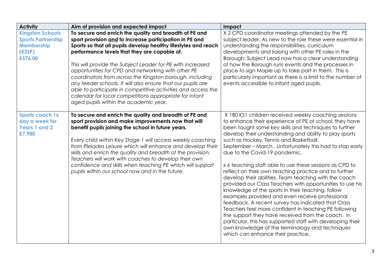| <b>Activity</b>                                                                                | Aim of provision and expected impact                                                                                                                                                                                                                                                                                                                                                                                                                                                                                                                                                                                                                  | Impact                                                                                                                                                                                                                                                                                                                                                                                                                                                                                                                                                                                                                                                                                                                                                                                                                                                                                                                                                                                                                                              |
|------------------------------------------------------------------------------------------------|-------------------------------------------------------------------------------------------------------------------------------------------------------------------------------------------------------------------------------------------------------------------------------------------------------------------------------------------------------------------------------------------------------------------------------------------------------------------------------------------------------------------------------------------------------------------------------------------------------------------------------------------------------|-----------------------------------------------------------------------------------------------------------------------------------------------------------------------------------------------------------------------------------------------------------------------------------------------------------------------------------------------------------------------------------------------------------------------------------------------------------------------------------------------------------------------------------------------------------------------------------------------------------------------------------------------------------------------------------------------------------------------------------------------------------------------------------------------------------------------------------------------------------------------------------------------------------------------------------------------------------------------------------------------------------------------------------------------------|
| <b>Kingston Schools</b><br><b>Sports Partnership</b><br><b>Membership</b><br>(KSSP)<br>£576.00 | To secure and enrich the quality and breadth of PE and<br>sport provision and to increase participation in PE and<br>Sports so that all pupils develop healthy lifestyles and reach<br>performance levels that they are capable of.<br>This will provide the Subject Leader for PE with increased<br>opportunities for CPD and networking with other PE<br>coordinators from across the Kingston borough, including<br>any feeder schools. It will also ensure that our pupils are<br>able to participate in competitive activities and access the<br>calendar for local competitions appropriate for infant<br>aged pupils within the academic year. | X 2 CPD coordinator meetings attended by the PE<br>subject leader. As new to the role these were essential in<br>understanding the responsibilities, curriculum<br>developments and liaising with other PE roles in the<br>Borough. Subject Lead now has a clear understanding<br>of how the Borough runs events and the processes in<br>place to sign Maple up to take part in them. This is<br>particularly important as there is a limit to the number of<br>events accessible to infant aged pupils.                                                                                                                                                                                                                                                                                                                                                                                                                                                                                                                                            |
| <b>Sports coach 1x</b><br>day a week for<br><b>Years 1 and 2</b><br>£7,980                     | To secure and enrich the quality and breadth of PE and<br>sport provision and make improvements now that will<br>benefit pupils joining the school in future years.<br>Every child within Key Stage 1 will access weekly coaching<br>from Pleiades Leisure which will enhance and develop their<br>skills and enrich the quality and breadth of the provision.<br>Teachers will work with coaches to develop their own<br>confidence and skills when teaching PE which will support<br>pupils within our school now and in the future.                                                                                                                | X 180 KS1 children received weekly coaching sessions<br>to enhance their experience of PE at school, they have<br>been taught some key skills and techniques to further<br>develop their understanding and ability to play sports<br>such as Hockey, Tennis and Basketball.<br>September – March. Unfortunately this had to stop early<br>due to the Covid-19 pandemic.<br>x 6 teaching staff able to use these sessions as CPD to<br>reflect on their own teaching practice and to further<br>develop their abilities. Team teaching with the coach<br>provided our Class Teachers with opportunities to use his<br>knowledge of the sports in their teaching, follow<br>examples provided and even receive professional<br>feedback. A recent survey has indicated that Class<br>Teachers feel more confident in teaching PE following<br>the support they have received from the coach. In<br>particular, this has supported staff with developing their<br>own knowledge of the terminology and techniques<br>which can enhance their practice. |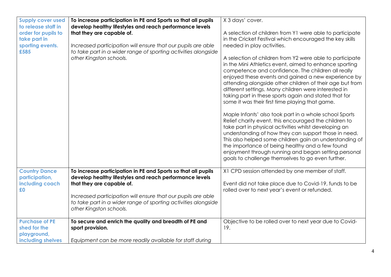| <b>Supply cover used</b><br>to release staff in<br>order for pupils to<br>take part in<br>sporting events.<br>£585 | To increase participation in PE and Sports so that all pupils<br>develop healthy lifestyles and reach performance levels<br>that they are capable of.<br>Increased participation will ensure that our pupils are able<br>to take part in a wider range of sporting activities alongside<br>other Kingston schools. | X 3 days' cover.<br>A selection of children from Y1 were able to participate<br>in the Cricket Festival which encouraged the key skills<br>needed in play activities.<br>A selection of children from Y2 were able to participate<br>in the Mini Athletics event, aimed to enhance sporting<br>competence and confidence. The children all really<br>enjoyed these events and gained a new experience by<br>attending alongside other children of their age but from<br>different settings. Many children were interested in<br>taking part in these sports again and stated that for<br>some it was their first time playing that game.<br>Maple Infants' also took part in a whole school Sports<br>Relief charity event, this encouraged the children to<br>take part in physical activities whilst developing an<br>understanding of how they can support those in need.<br>This also helped some children gain an understanding of<br>the importance of being healthy and a few found<br>enjoyment through running and began setting personal |
|--------------------------------------------------------------------------------------------------------------------|--------------------------------------------------------------------------------------------------------------------------------------------------------------------------------------------------------------------------------------------------------------------------------------------------------------------|----------------------------------------------------------------------------------------------------------------------------------------------------------------------------------------------------------------------------------------------------------------------------------------------------------------------------------------------------------------------------------------------------------------------------------------------------------------------------------------------------------------------------------------------------------------------------------------------------------------------------------------------------------------------------------------------------------------------------------------------------------------------------------------------------------------------------------------------------------------------------------------------------------------------------------------------------------------------------------------------------------------------------------------------------|
|                                                                                                                    |                                                                                                                                                                                                                                                                                                                    | goals to challenge themselves to go even further.                                                                                                                                                                                                                                                                                                                                                                                                                                                                                                                                                                                                                                                                                                                                                                                                                                                                                                                                                                                                  |
| <b>Country Dance</b><br>participation,<br>including coach<br>£0                                                    | To increase participation in PE and Sports so that all pupils<br>develop healthy lifestyles and reach performance levels<br>that they are capable of.<br>Increased participation will ensure that our pupils are able<br>to take part in a wider range of sporting activities alongside<br>other Kingston schools. | X1 CPD session attended by one member of staff.<br>Event did not take place due to Covid-19, funds to be<br>rolled over to next year's event or refunded.                                                                                                                                                                                                                                                                                                                                                                                                                                                                                                                                                                                                                                                                                                                                                                                                                                                                                          |
| <b>Purchase of PE</b><br>shed for the<br>playground,<br>including shelves                                          | To secure and enrich the quality and breadth of PE and<br>sport provision.<br>Equipment can be more readily available for staff during                                                                                                                                                                             | Objective to be rolled over to next year due to Covid-<br>19.                                                                                                                                                                                                                                                                                                                                                                                                                                                                                                                                                                                                                                                                                                                                                                                                                                                                                                                                                                                      |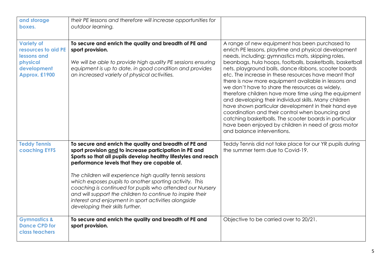| and storage<br>boxes.                                                                               | their PE lessons and therefore will increase opportunities for<br>outdoor learning.                                                                                                                                                                                                                                                                                                                                                                                                                                                                                                |                                                                                                                                                                                                                                                                                                                                                                                                                                                                                                                                                                                                                                                                                                                                                                                                                                   |
|-----------------------------------------------------------------------------------------------------|------------------------------------------------------------------------------------------------------------------------------------------------------------------------------------------------------------------------------------------------------------------------------------------------------------------------------------------------------------------------------------------------------------------------------------------------------------------------------------------------------------------------------------------------------------------------------------|-----------------------------------------------------------------------------------------------------------------------------------------------------------------------------------------------------------------------------------------------------------------------------------------------------------------------------------------------------------------------------------------------------------------------------------------------------------------------------------------------------------------------------------------------------------------------------------------------------------------------------------------------------------------------------------------------------------------------------------------------------------------------------------------------------------------------------------|
| <b>Variety of</b><br>resources to aid PE<br>lessons and<br>physical<br>development<br>Approx. £1900 | To secure and enrich the quality and breadth of PE and<br>sport provision.<br>We will be able to provide high quality PE sessions ensuring<br>equipment is up to date, in good condition and provides<br>an increased variety of physical activities.                                                                                                                                                                                                                                                                                                                              | A range of new equipment has been purchased to<br>enrich PE lessons, playtime and physical development<br>needs, including: gymnastics mats, skipping roles,<br>beanbags, hula hoops, footballs, basketballs, basketball<br>nets, playground balls, dance ribbons, scooter boards<br>etc. The increase in these resources have meant that<br>there is now more equipment available in lessons and<br>we don't have to share the resources as widely,<br>therefore children have more time using the equipment<br>and developing their individual skills. Many children<br>have shown particular development in their hand eye<br>coordination and their control when bouncing and<br>catching basketballs. The scooter boards in particular<br>have been enjoyed by children in need of gross motor<br>and balance interventions. |
| <b>Teddy Tennis</b><br><b>coaching EYFS</b>                                                         | To secure and enrich the quality and breadth of PE and<br>sport provision and to increase participation in PE and<br>Sports so that all pupils develop healthy lifestyles and reach<br>performance levels that they are capable of.<br>The children will experience high quality tennis sessions<br>which exposes pupils to another sporting activity. This<br>coaching is continued for pupils who attended our Nursery<br>and will support the children to continue to inspire their<br>interest and enjoyment in sport activities alongside<br>developing their skills further. | Teddy Tennis did not take place for our YR pupils during<br>the summer term due to Covid-19.                                                                                                                                                                                                                                                                                                                                                                                                                                                                                                                                                                                                                                                                                                                                      |
| <b>Gymnastics &amp;</b><br><b>Dance CPD for</b><br>class teachers                                   | To secure and enrich the quality and breadth of PE and<br>sport provision.                                                                                                                                                                                                                                                                                                                                                                                                                                                                                                         | Objective to be carried over to 20/21.                                                                                                                                                                                                                                                                                                                                                                                                                                                                                                                                                                                                                                                                                                                                                                                            |